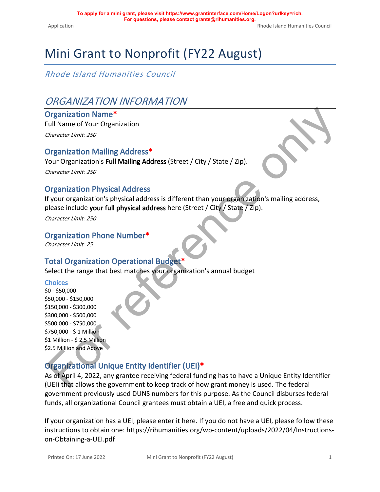# Mini Grant to Nonprofit (FY22 August)

*Rhode Island Humanities Council*

# *ORGANIZATION INFORMATION*

#### **Organization Name\***

Full Name of Your Organization

*Character Limit: 250*

#### **Organization Mailing Address\***

Your Organization's **Full Mailing Address** (Street / City / State / Zip).

*Character Limit: 250*

#### **Organization Physical Address**

If your organization's physical address is different than your organization's mailing address, please include **your full physical address** here (Street / City / State / Zip).

*Character Limit: 250*

#### **Organization Phone Number\***

*Character Limit: 25*

#### **Total Organization Operational Budget\***

Select the range that best matches your organization's annual budget

#### **Choices**

\$0 - \$50,000 \$50,000 - \$150,000 \$150,000 - \$300,000 \$300,000 - \$500,000 \$500,000 - \$750,000 \$750,000 - \$ 1 Million \$1 Million - \$ 2.5 Million \$2.5 Million and Above

## **Organizational Unique Entity Identifier (UEI)\***

As of April 4, 2022, any grantee receiving federal funding has to have a Unique Entity Identifier (UEI) that allows the government to keep track of how grant money is used. The federal government previously used DUNS numbers for this purpose. As the Council disburses federal funds, all organizational Council grantees must obtain a UEI, a free and quick process. Drganization Name<br>
"collocater Limit: 250<br>
Drganization Mailling Address"<br>
Drganization Mailling Address<br>
Typerarization Physical Address<br>
Typerarization Physical Address<br>
Typerarization Physical Address<br>
Flow or organizat

If your organization has a UEI, please enter it here. If you do not have a UEI, please follow [these](https://rihumanities.org/wp-content/uploads/2022/04/Instructions-on-Obtaining-a-UEI.pdf)  [instructions](https://rihumanities.org/wp-content/uploads/2022/04/Instructions-on-Obtaining-a-UEI.pdf) to obtain one: [https://rihumanities.org/wp-content/uploads/2022/04/Instructions](https://rihumanities.org/wp-content/uploads/2022/04/Instructions-on-Obtaining-a-UEI.pdf)[on-Obtaining-a-UEI.pdf](https://rihumanities.org/wp-content/uploads/2022/04/Instructions-on-Obtaining-a-UEI.pdf)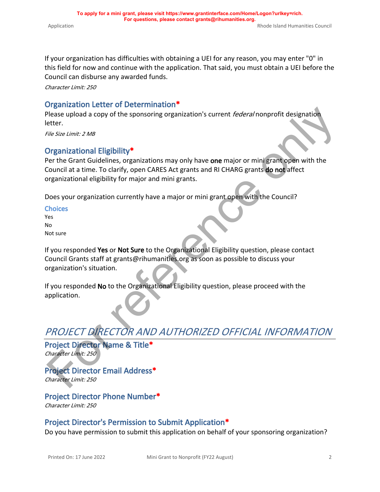If your organization has difficulties with obtaining a UEI for any reason, you may enter "0" in this field for now and continue with the application. That said, you must obtain a UEI before the

Council can disburse any awarded funds.

*Character Limit: 250*

### **Organization Letter of Determination\***

Please upload a copy of the sponsoring organization's current *federal* nonprofit designation letter.

*File Size Limit: 2 MB*

### **Organizational Eligibility\***

Per the Grant Guidelines, organizations may only have **one** major or mini grant open with the Council at a time. To clarify, open CARES Act grants and RI CHARG grants **do not** affect organizational eligibility for major and mini grants. Please upload a copy of the sponsoring organization's current *federal* nonprofit designation<br>
etter.<br>
The set limit: 2 MB<br>
Driganizational Eligibility \*<br>
Driganizational Eligibility \*<br>
Preference or anti-<br>
Condicil at a t

Does your organization currently have a major or mini grant open with the Council?

**Choices** Yes No Not sure

If you responded **Yes** or **Not Sure** to the Organizational Eligibility question, please contact Council Grants staff at grants@rihumanities.org as soon as possible to discuss your organization's situation.

If you responded **No** to the Organizational Eligibility question, please proceed with the application.

# *PROJECT DIRECTOR AND AUTHORIZED OFFICIAL INFORMATION*

**Project Director Name & Title\*** *Character Limit: 250*

**Project Director Email Address\*** *Character Limit: 250*

**Project Director Phone Number\*** *Character Limit: 250*

#### **Project Director's Permission to Submit Application\***

Do you have permission to submit this application on behalf of your sponsoring organization?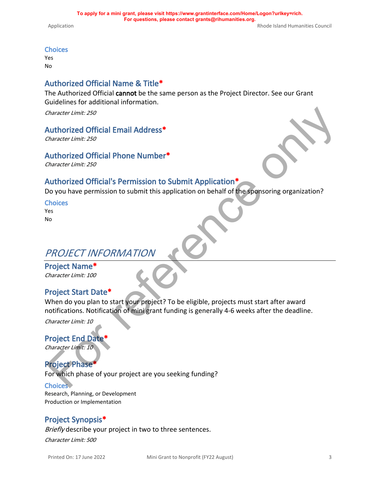#### **Choices**

Yes No

## **Authorized Official Name & Title\***

The Authorized Official **cannot** be the same person as the Project Director. See our Grant Guidelines for additional information.

*Character Limit: 250*

#### **Authorized Official Email Address\***

*Character Limit: 250*

#### **Authorized Official Phone Number\***

*Character Limit: 250*

### **Authorized Official's Permission to Submit Application\***

Do you have permission to submit this application on behalf of the sponsoring organization?

**Choices** Yes

No

## *PROJECT INFORMATION*

**Project Name\*** *Character Limit: 100*

## **Project Start Date\***

When do you plan to start your project? To be eligible, projects must start after award notifications. Notification of mini grant funding is generally 4-6 weeks after the deadline. Character Limit: 250<br>
Authorized Official Email Address\*<br>
Character Limit: 250<br>
Authorized Official Phone Number\*<br>
For reference of Chical's Permission to Submit Application\*<br>
For reference only and the submit this applica

*Character Limit: 10*

**Project End Date**\* *Character Limit: 10*

## **Project Phase\***

For which phase of your project are you seeking funding?

**Choices** Research, Planning, or Development Production or Implementation

## **Project Synopsis\***

*Briefly* describe your project in two to three sentences.

*Character Limit: 500*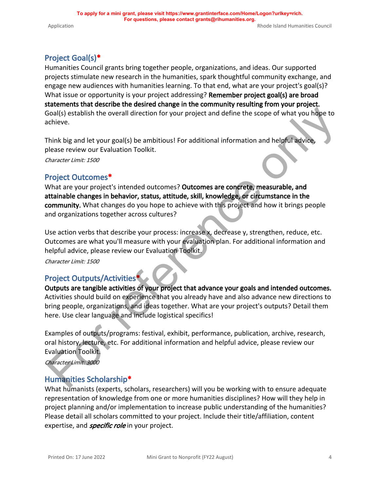## **Project Goal(s)\***

Humanities Council grants bring together people, organizations, and ideas. Our supported projects stimulate new research in the humanities, spark thoughtful community exchange, and engage new audiences with humanities learning. To that end, what are your project's goal(s)? What issue or opportunity is your project addressing? **Remember project goal(s) are broad statements that describe the desired change in the community resulting from your project.** Goal(s) establish the overall direction for your project and define the scope of what you hope to achieve.

Think big and let your goal(s) be ambitious! For additional information and helpful advice, please review our Evaluation Toolkit.

*Character Limit: 1500*

#### **Project Outcomes\***

What are your project's intended outcomes? **Outcomes are concrete, measurable, and attainable changes in behavior, status, attitude, skill, knowledge, or circumstance in the community.** What changes do you hope to achieve with this project and how it brings people and organizations together across cultures?

Use action verbs that describe your process: increase x, decrease y, strengthen, reduce, etc. Outcomes are what you'll measure with your evaluation plan. For additional information and helpful advice, please review our Evaluation Toolkit.

*Character Limit: 1500*

#### **Project Outputs/Activities\***

**Outputs are tangible activities of your project that advance your goals and intended outcomes.** Activities should build on experience that you already have and also advance new directions to bring people, organizations, and ideas together. What are your project's outputs? Detail them here. Use clear language and include logistical specifics! Soal(s) establish the overall direction for your project and define the scope of what you hape to<br>thinke big and let your goal(s) be ambitious! [For](http://rihumanities.org/grants/grantmaking/) additional information and helpful advice.<br>Principal let your goal(s) be a

Examples of outputs/programs: festival, exhibit, performance, publication, archive, research, oral history, lecture, etc. For additional information and helpful advice, please review our Evaluation Toolkit.

*Character Limit: 3000*

#### **Humanities Scholarship\***

What humanists (experts, scholars, researchers) will you be working with to ensure adequate representation of knowledge from one or more humanities disciplines? How will they help in project planning and/or implementation to increase public understanding of the humanities? Please detail all scholars committed to your project. Include their title/affiliation, content expertise, and *specific role* in your project.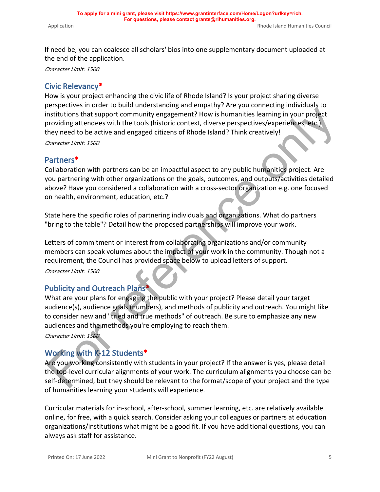If need be, you can coalesce all scholars' bios into one supplementary document uploaded at the end of the application.

*Character Limit: 1500*

## **Civic Relevancy\***

How is your project enhancing the civic life of Rhode Island? Is your project sharing diverse perspectives in order to build understanding and empathy? Are you connecting individuals to institutions that support community engagement? How is humanities learning in your project providing attendees with the tools (historic context, diverse perspectives/experiences, etc.) they need to be active and engaged citizens of Rhode Island? Think creatively! *Character Limit: 1500*

**Partners\***

Collaboration with partners can be an impactful aspect to any public humanities project. Are you partnering with other organizations on the goals, outcomes, and outputs/activities detailed above? Have you considered a collaboration with a cross-sector organization e.g. one focused on health, environment, education, etc.? Ensurations that support community engagement? How is humanities learning in your project<br>rotwiding attendees with the tools (historic context, diverse perspectives/serveriences: atc.,<br>they need to be active and engaged ci

State here the specific roles of partnering individuals and organizations. What do partners "bring to the table"? Detail how the proposed partnerships will improve your work.

Letters of commitment or interest from collaborating organizations and/or community members can speak volumes about the impact of your work in the community. Though not a requirement, the Council has provided space below to upload letters of support.

*Character Limit: 1500*

## **Publicity and Outreach Plans\***

What are your plans for engaging the public with your project? Please detail your target audience(s), audience goals (numbers), and methods of publicity and outreach. You might like to consider new and "tried and true methods" of outreach. Be sure to emphasize any new audiences and the methods you're employing to reach them.

*Character Limit: 1500*

## **Working with K-12 Students\***

Are you working consistently with students in your project? If the answer is yes, please detail the top-level curricular alignments of your work. The curriculum alignments you choose can be self-determined, but they should be relevant to the format/scope of your project and the type of humanities learning your students will experience.

Curricular materials for in-school, after-school, summer learning, etc. are relatively available online, for free, with a quick search. Consider asking your colleagues or partners at education organizations/institutions what might be a good fit. If you have additional questions, you can always ask staff for assistance.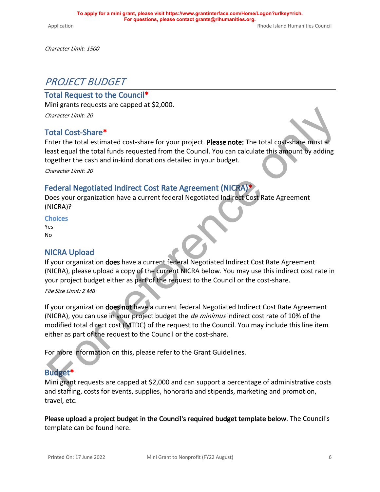*Character Limit: 1500*

## *PROJECT BUDGET*

#### **Total Request to the Council\***

Mini grants requests are capped at \$2,000.

*Character Limit: 20*

#### **Total Cost-Share\***

Enter the total estimated cost-share for your project. **Please note:** The total cost-share must at least equal the total funds requested from the Council. You can calculate this amount by adding together the cash and in-kind donations detailed in your budget.

*Character Limit: 20*

#### **Federal Negotiated Indirect Cost Rate Agreement (NICRA)\***

Does your organization have a current federal Negotiated Indirect Cost Rate Agreement (NICRA)?

**Choices** Yes

No

#### **NICRA Upload**

If your organization **does** have a current federal Negotiated Indirect Cost Rate Agreement (NICRA), please upload a copy of the current NICRA below. You may use this indirect cost rate in your project budget either as part of the request to the Council or the cost-share.

*File Size Limit: 2 MB*

If your organization **does not** have a current federal Negotiated Indirect Cost Rate Agreement (NICRA), you can use in your project budget the *de minimus* indirect cost rate of 10% of the modified total direct cost (MTDC) of the request to the Council. You may include this line item either as part of the request to the Council or the cost-share. Chall Cost-Share\*<br>
Chall Cost-Share\*<br>
Chall Cost-Share\*<br>
Chall Cost-Share\*<br>
Chall Cost-Share\*<br>
Chall Cost-Share\*<br>
Chall Cost-Share\*<br>
Chall through consider the cost share for your project. Please note: The total cost-Share

For more information on this, please refer to the Grant Guidelines.

#### **Budget\***

Mini grant requests are capped at \$2,000 and can support a percentage of administrative costs and staffing, costs for events, supplies, honoraria and stipends, marketing and promotion, travel, etc.

**Please upload a project budget in the Council's required budget template below**. The Council's template can be found [here.](https://rihumanities.org/wp-content/uploads/2020/02/Budget-Template-2020.xlsx)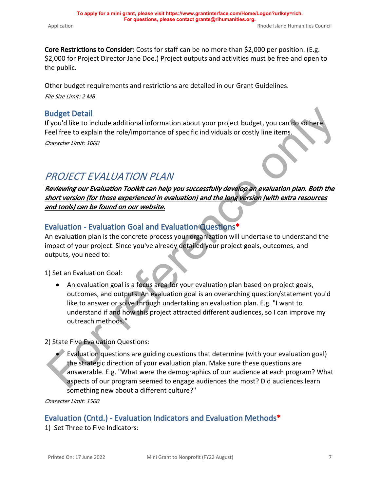**Core Restrictions to Consider:** Costs for staff can be no more than \$2,000 per position. (E.g. \$2,000 for Project Director Jane Doe.) Project outputs and activities must be free and open to the public.

Other budget requirements and restrictions are detailed in our [Grant Guidelines](https://rihumanities.org/wp-content/uploads/2021/07/RI-Council-for-the-Humanities-guideRev_July162021-.pdf).

*File Size Limit: 2 MB*

## **Budget Detail**

If you'd like to include additional information about your project budget, you can do so here. Feel free to explain the role/importance of specific individuals or costly line items. *Character Limit: 1000*

# *PROJECT EVALUATION PLAN*

*Reviewing our Evaluation Toolkit can help you successfully develop an evaluation plan. Both the short version (for those experienced in evaluation) and the long version (with extra resources and tools) can be found on our website.*

## **Evaluation - Evaluation Goal and Evaluation Questions\***

An evaluation plan is the concrete process your organization will undertake to understand the impact of your project. Since you've already detailed your project goals, outcomes, and outputs, you need to:

1) Set an Evaluation Goal:

• An evaluation goal is a focus area for your evaluation plan based on project goals, outcomes, and outputs. An evaluation goal is an overarching question/statement you'd like to answer or solve through undertaking an evaluation plan. E.g. "I want to understand if and how this project attracted different audiences, so I can improve my outreach methods." Budget Detail<br>
If you dilike to include additional information about your project budget, you can do some reference free to explain the role/importance of specific individuals or costly line items.<br>
The reference of the to

#### 2) State Five Evaluation Questions:

• Evaluation questions are guiding questions that determine (with your evaluation goal) the strategic direction of your evaluation plan. Make sure these questions are answerable. E.g. "What were the demographics of our audience at each program? What aspects of our program seemed to engage audiences the most? Did audiences learn something new about a different culture?"

*Character Limit: 1500*

## **Evaluation (Cntd.) - Evaluation Indicators and Evaluation Methods\***

1) Set Three to Five Indicators: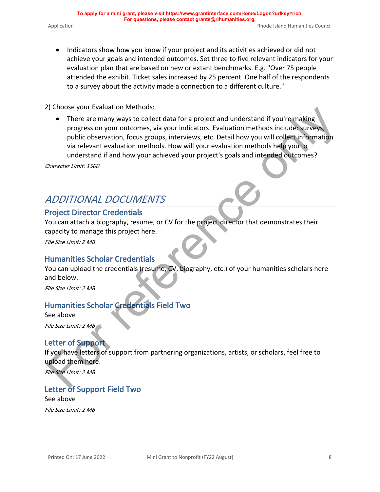attended the exhibit. Ticket sales increased by 25 percent. One half of the respondents

to a survey about the activity made a connection to a different culture."

2) Choose your Evaluation Methods:

• There are many ways to collect data for a project and understand if you're making progress on your outcomes, via your indicators. Evaluation methods include: surveys, public observation, focus groups, interviews, etc. Detail how you will collect information via relevant evaluation methods. How will your evaluation methods help you to understand if and how your achieved your project's goals and intended outcomes? ey throuse your texnation methods.<br>
There are many ways to collect data for a project and understand if you're making<br>
progress on your outcomes, via your indicators. Evaluation methods include surveys,<br>
public lose-vation

*Character Limit: 1500*

# *ADDITIONAL DOCUMENTS*

## **Project Director Credentials**

You can attach a biography, resume, or CV for the project director that demonstrates their capacity to manage this project here.

*File Size Limit: 2 MB*

## **Humanities Scholar Credentials**

You can upload the credentials (resume, CV, biography, etc.) of your humanities scholars here and below.

*File Size Limit: 2 MB*

## **Humanities Scholar Credentials Field Two**

See above *File Size Limit: 2 MB*

## **Letter of Support**

If you have letters of support from partnering organizations, artists, or scholars, feel free to upload them here.

*File Size Limit: 2 MB*

## **Letter of Support Field Two**

See above *File Size Limit: 2 MB*